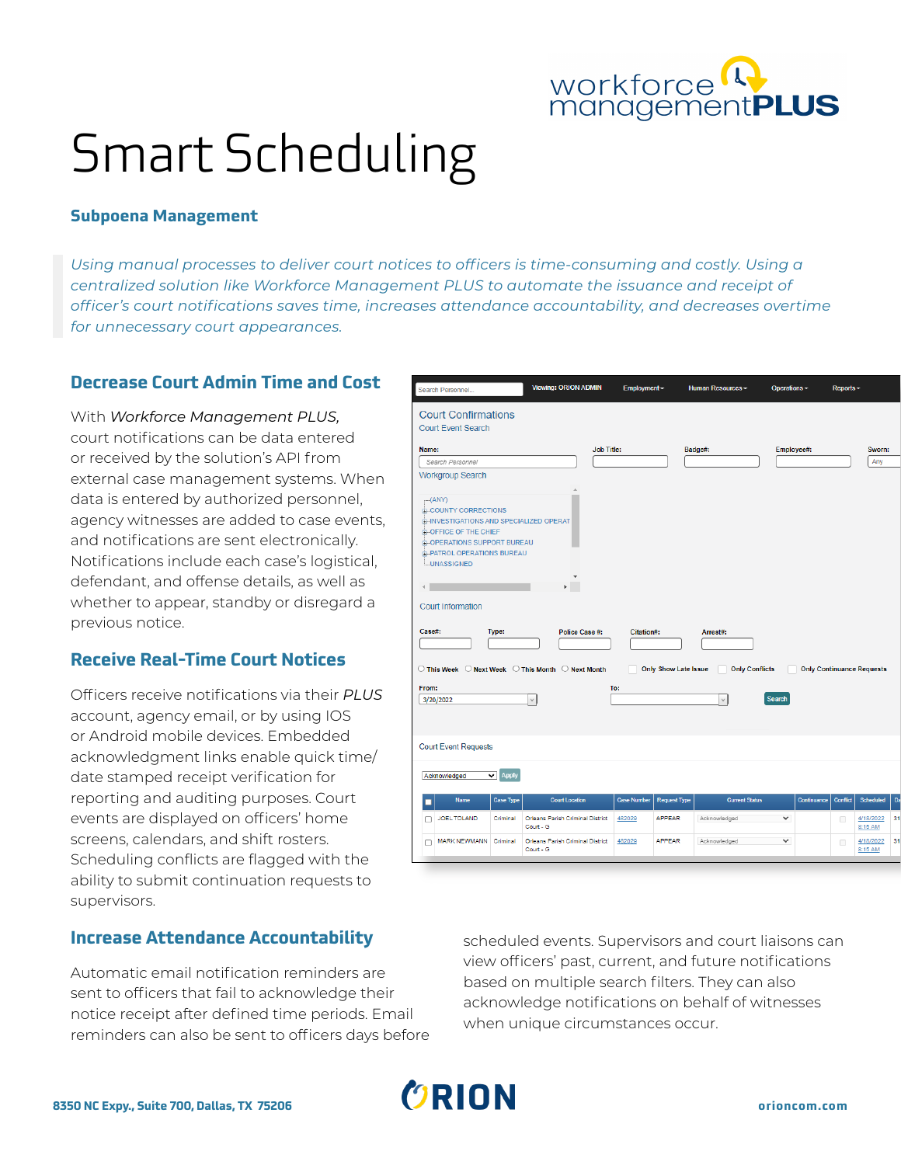

# Smart Scheduling

#### **Subpoena Management**

*Using manual processes to deliver court notices to officers is time-consuming and costly. Using a centralized solution like Workforce Management PLUS to automate the issuance and receipt of officer's court notifications saves time, increases attendance accountability, and decreases overtime for unnecessary court appearances.*

## **Decrease Court Admin Time and Cost**

With *Workforce Management PLUS,* court notifications can be data entered or received by the solution's API from external case management systems. When data is entered by authorized personnel, agency witnesses are added to case events, and notifications are sent electronically. Notifications include each case's logistical, defendant, and offense details, as well as whether to appear, standby or disregard a previous notice.

## **Receive Real-Time Court Notices**

Officers receive notifications via their *PLUS* account, agency email, or by using IOS or Android mobile devices. Embedded acknowledgment links enable quick time/ date stamped receipt verification for reporting and auditing purposes. Court events are displayed on officers' home screens, calendars, and shift rosters. Scheduling conflicts are flagged with the ability to submit continuation requests to supervisors.

#### **Increase Attendance Accountability**

Automatic email notification reminders are sent to officers that fail to acknowledge their notice receipt after defined time periods. Email reminders can also be sent to officers days before

| Search Personnel                                                                                                                                                                                                                                                                                                                     |                               | <b>Viewing: ORION ADMIN</b>                   | Employment -       |                             | Human Resources -                 | Operations -  |                                  | Reports -       |                      |          |
|--------------------------------------------------------------------------------------------------------------------------------------------------------------------------------------------------------------------------------------------------------------------------------------------------------------------------------------|-------------------------------|-----------------------------------------------|--------------------|-----------------------------|-----------------------------------|---------------|----------------------------------|-----------------|----------------------|----------|
| <b>Court Confirmations</b><br><b>Court Event Search</b>                                                                                                                                                                                                                                                                              |                               |                                               |                    |                             |                                   |               |                                  |                 |                      |          |
| Name:                                                                                                                                                                                                                                                                                                                                |                               | <b>Job Title:</b>                             |                    |                             |                                   |               |                                  |                 | Sworn:               |          |
| Search Personnel                                                                                                                                                                                                                                                                                                                     |                               |                                               |                    |                             | Badge#:                           | Employee#:    |                                  |                 | Any                  |          |
| Workgroup Search                                                                                                                                                                                                                                                                                                                     |                               |                                               |                    |                             |                                   |               |                                  |                 |                      |          |
| $-(ANY)$<br><b>E-COUNTY CORRECTIONS</b><br><b>B-INVESTIGATIONS AND SPECIALIZED OPERAT</b><br>G-OFFICE OF THE CHIEF<br><b>E-OPERATIONS SUPPORT BUREAU</b><br><b>E-PATROL OPERATIONS BUREAU</b><br><b>LUNASSIGNED</b><br><b>Court Information</b><br>Case#:<br>◯ This Week ◯ Next Week ◯ This Month ◯ Next Month<br>From:<br>3/20/2022 | Type:                         | Police Case #:                                | Citation#:<br>To:  | <b>Only Show Late Issue</b> | Arrest#:<br><b>Only Conflicts</b> | <b>Search</b> | <b>Only Continuance Requests</b> |                 |                      |          |
| <b>Court Event Requests</b>                                                                                                                                                                                                                                                                                                          |                               |                                               |                    |                             |                                   |               |                                  |                 |                      |          |
| Acknowledged                                                                                                                                                                                                                                                                                                                         | $\overline{\mathbf{v}}$ Apply |                                               |                    |                             |                                   |               |                                  |                 |                      |          |
|                                                                                                                                                                                                                                                                                                                                      |                               |                                               |                    |                             |                                   |               |                                  |                 |                      |          |
| Name                                                                                                                                                                                                                                                                                                                                 | <b>Case Type</b>              | <b>Court Location</b>                         | <b>Case Number</b> | <b>Request Type</b>         | <b>Current Status</b>             |               | Continuance                      | <b>Conflict</b> | Scheduled            |          |
| JOEL TOLAND<br>□                                                                                                                                                                                                                                                                                                                     | Criminal                      | Orleans Parish Criminal District<br>Court - G | 482029             | <b>APPEAR</b>               | Acknowledged                      | $\checkmark$  |                                  | □               | 4/18/2022<br>8:15 AM | Da<br>31 |

scheduled events. Supervisors and court liaisons can view officers' past, current, and future notifications based on multiple search filters. They can also acknowledge notifications on behalf of witnesses when unique circumstances occur.